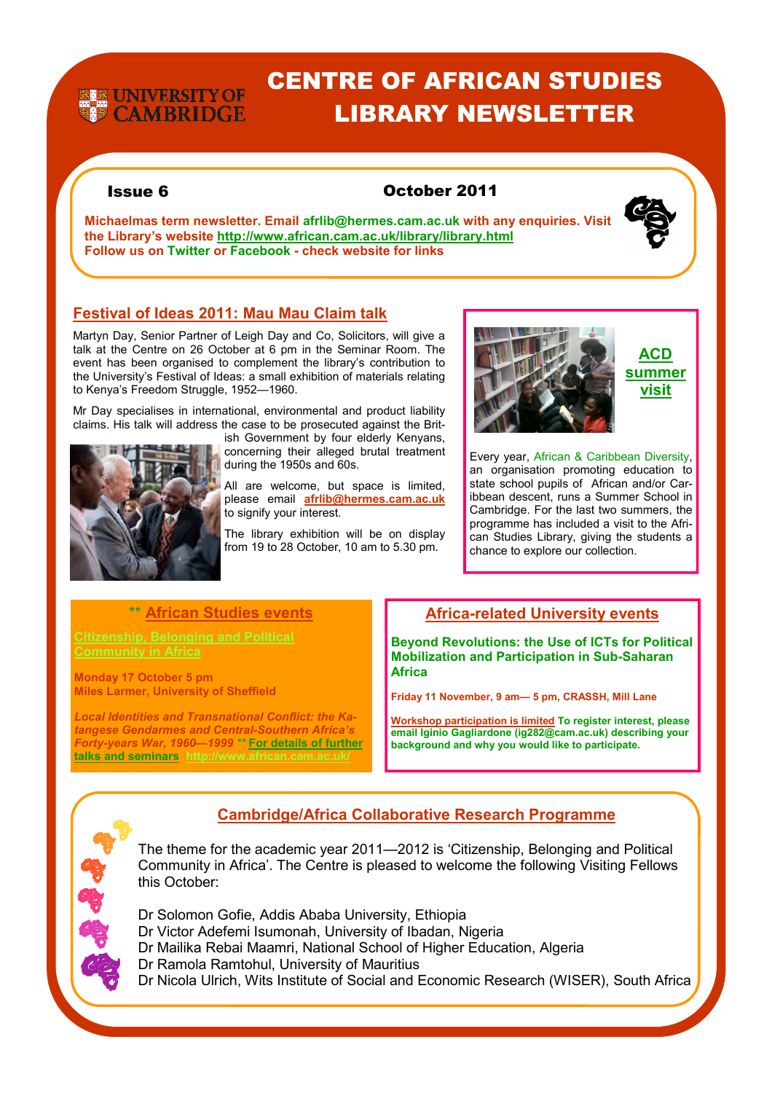# **EXECUNIVERSITY OF**<br>**EXPLOSED CAMBRIDGE**

## CENTRE OF AFRICAN STUDIES LIBRARY NEWSLETTER

#### Issue 6 October 2011

**Michaelmas term newsletter. Email afrlib@hermes.cam.ac.uk with any enquiries. Visit the Library's website http://www.african.cam.ac.uk/library/library.html Follow us on Twitter or Facebook - check website for links** 



Martyn Day, Senior Partner of Leigh Day and Co, Solicitors, will give a talk at the Centre on 26 October at 6 pm in the Seminar Room. The event has been organised to complement the library's contribution to the University's Festival of Ideas: a small exhibition of materials relating to Kenya's Freedom Struggle, 1952—1960.

Mr Day specialises in international, environmental and product liability claims. His talk will address the case to be prosecuted against the Brit-



ish Government by four elderly Kenyans, concerning their alleged brutal treatment during the 1950s and 60s.

All are welcome, but space is limited, please email **afrlib@hermes.cam.ac.uk**  to signify your interest.

The library exhibition will be on display from 19 to 28 October, 10 am to 5.30 pm.



**ACD summer visit**

Every year, African & Caribbean Diversity, an organisation promoting education to state school pupils of African and/or Caribbean descent, runs a Summer School in Cambridge. For the last two summers, the programme has included a visit to the African Studies Library, giving the students a chance to explore our collection.

#### \*\* **African Studies events**

**Community in Africa**

**Monday 17 October 5 pm Miles Larmer, University of Sheffield** 

*Local Identities and Transnational Conflict: the Katangese Gendarmes and Central-Southern Africa's Forty-years War, 1960—1999 \*\** **For details of further talks and seminars http://www.african.cam.ac.uk/** 

#### **Africa-related University events**

**Beyond Revolutions: the Use of ICTs for Political Mobilization and Participation in Sub-Saharan Africa** 

**Friday 11 November, 9 am— 5 pm, CRASSH, Mill Lane** 

**Workshop participation is limited To register interest, please email Iginio Gagliardone (ig282@cam.ac.uk) describing your background and why you would like to participate.**

### **Cambridge/Africa Collaborative Research Programme**

The theme for the academic year 2011—2012 is 'Citizenship, Belonging and Political Community in Africa'. The Centre is pleased to welcome the following Visiting Fellows this October:

Dr Solomon Gofie, Addis Ababa University, Ethiopia

- Dr Victor Adefemi Isumonah, University of Ibadan, Nigeria
- Dr Mailika Rebai Maamri, National School of Higher Education, Algeria
- Dr Ramola Ramtohul, University of Mauritius

Dr Nicola Ulrich, Wits Institute of Social and Economic Research (WISER), South Africa